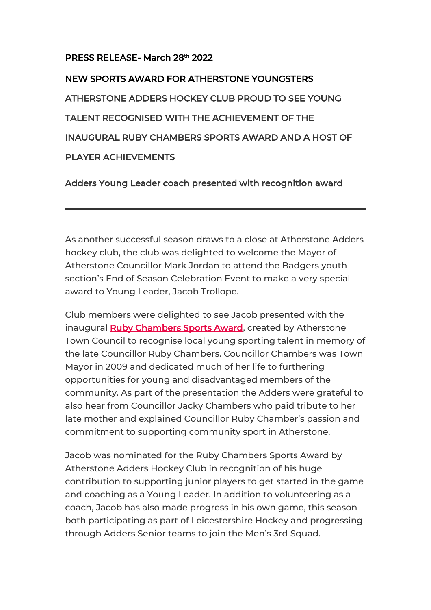## PRESS RELEASE- March 28th 2022

NEW SPORTS AWARD FOR ATHERSTONE YOUNGSTERS ATHERSTONE ADDERS HOCKEY CLUB PROUD TO SEE YOUNG TALENT RECOGNISED WITH THE ACHIEVEMENT OF THE INAUGURAL RUBY CHAMBERS SPORTS AWARD AND A HOST OF PLAYER ACHIEVEMENTS

Adders Young Leader coach presented with recognition award

As another successful season draws to a close at Atherstone Adders hockey club, the club was delighted to welcome the Mayor of Atherstone Councillor Mark Jordan to attend the Badgers youth section's End of Season Celebration Event to make a very special award to Young Leader, Jacob Trollope.

Club members were delighted to see Jacob presented with the inaugural **Ruby Chambers Sports Award**, created by Atherstone Town Council to recognise local young sporting talent in memory of the late Councillor Ruby Chambers. Councillor Chambers was Town Mayor in 2009 and dedicated much of her life to furthering opportunities for young and disadvantaged members of the community. As part of the presentation the Adders were grateful to also hear from Councillor Jacky Chambers who paid tribute to her late mother and explained Councillor Ruby Chamber's passion and commitment to supporting community sport in Atherstone.

Jacob was nominated for the Ruby Chambers Sports Award by Atherstone Adders Hockey Club in recognition of his huge contribution to supporting junior players to get started in the game and coaching as a Young Leader. In addition to volunteering as a coach, Jacob has also made progress in his own game, this season both participating as part of Leicestershire Hockey and progressing through Adders Senior teams to join the Men's 3rd Squad.